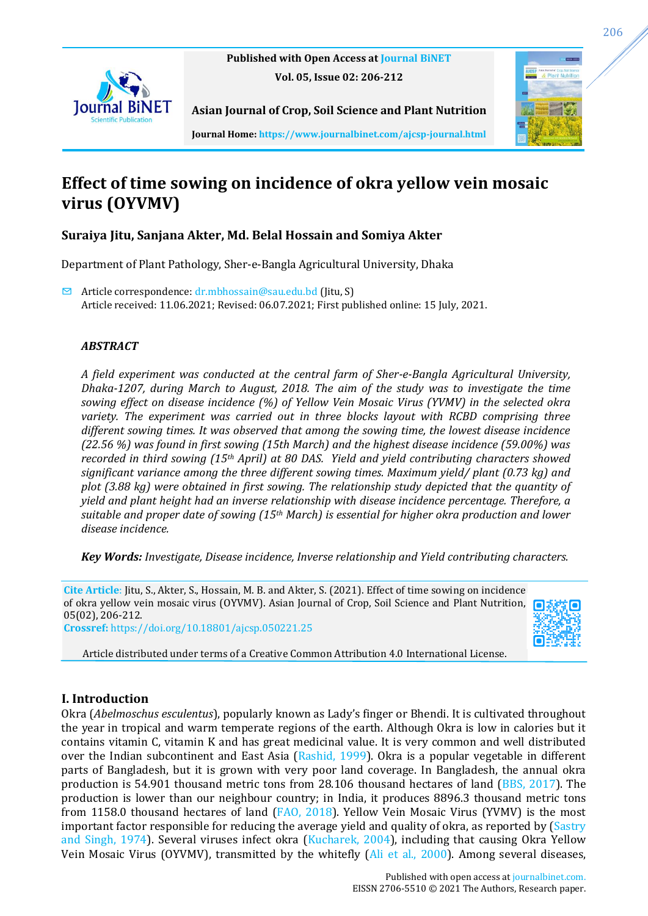

**Published with Open Access at [Journal BiNET](http://www.journalbinet.com/) Vol. 05, Issue 02: 206-212**



**Asian Journal of Crop, Soil Science and Plant Nutrition**

**Journal Home[: https://www.journalbinet.com/ajcsp-journal.html](https://www.journalbinet.com/ajcsp-journal.html)**

# **Effect of time sowing on incidence of okra yellow vein mosaic virus (OYVMV)**

# **Suraiya Jitu, Sanjana Akter, Md. Belal Hossain and Somiya Akter**

Department of Plant Pathology, Sher-e-Bangla Agricultural University, Dhaka

 $\triangleright$  Article correspondence:  $dr$ .mbhossain@sau.edu.bd (Jitu, S) Article received: 11.06.2021; Revised: 06.07.2021; First published online: 15 July, 2021.

# *ABSTRACT*

*A field experiment was conducted at the central farm of Sher-e-Bangla Agricultural University, Dhaka-1207, during March to August, 2018. The aim of the study was to investigate the time sowing effect on disease incidence (%) of Yellow Vein Mosaic Virus (YVMV) in the selected okra variety. The experiment was carried out in three blocks layout with RCBD comprising three different sowing times. It was observed that among the sowing time, the lowest disease incidence (22.56 %) was found in first sowing (15th March) and the highest disease incidence (59.00%) was recorded in third sowing (15th April) at 80 DAS. Yield and yield contributing characters showed significant variance among the three different sowing times. Maximum yield/ plant (0.73 kg) and plot (3.88 kg) were obtained in first sowing. The relationship study depicted that the quantity of yield and plant height had an inverse relationship with disease incidence percentage. Therefore, a suitable and proper date of sowing (15th March) is essential for higher okra production and lower disease incidence.*

*Key Words: Investigate, Disease incidence, Inverse relationship and Yield contributing characters.*

**Cite Article**: Jitu, S., Akter, S., Hossain, M. B. and Akter, S. (2021). Effect of time sowing on incidence of okra yellow vein mosaic virus (OYVMV). Asian Journal of Crop, Soil Science and Plant Nutrition, 05(02), 206-212. **Crossref:** <https://doi.org/10.18801/ajcsp.050221.25>



Article distributed under terms of a Creative Common Attribution 4.0 International License.

# **I. Introduction**

Okra (*Abelmoschus esculentus*), popularly known as Lady's finger or Bhendi. It is cultivated throughout the year in tropical and warm temperate regions of the earth. Although Okra is low in calories but it contains vitamin C, vitamin K and has great medicinal value. It is very common and well distributed over the Indian subcontinent and East Asia [\(Rashid, 1999\)](#page-6-0). Okra is a popular vegetable in different parts of Bangladesh, but it is grown with very poor land coverage. In Bangladesh, the annual okra production is 54.901 thousand metric tons from 28.106 thousand hectares of land [\(BBS, 2017\)](#page-6-1). The production is lower than our neighbour country; in India, it produces 8896.3 thousand metric tons from 1158.0 thousand hectares of land [\(FAO, 2018\)](#page-6-2). Yellow Vein Mosaic Virus (YVMV) is the most important factor responsible for reducing the average yield and quality of okra, as reported by [\(Sastry](#page-6-3)  [and Singh, 1974\)](#page-6-3). Several viruses infect okra [\(Kucharek, 2004\)](#page-6-4), including that causing Okra Yellow Vein Mosaic Virus (OYVMV), transmitted by the whitefly [\(Ali et al., 2000\)](#page-6-5). Among several diseases,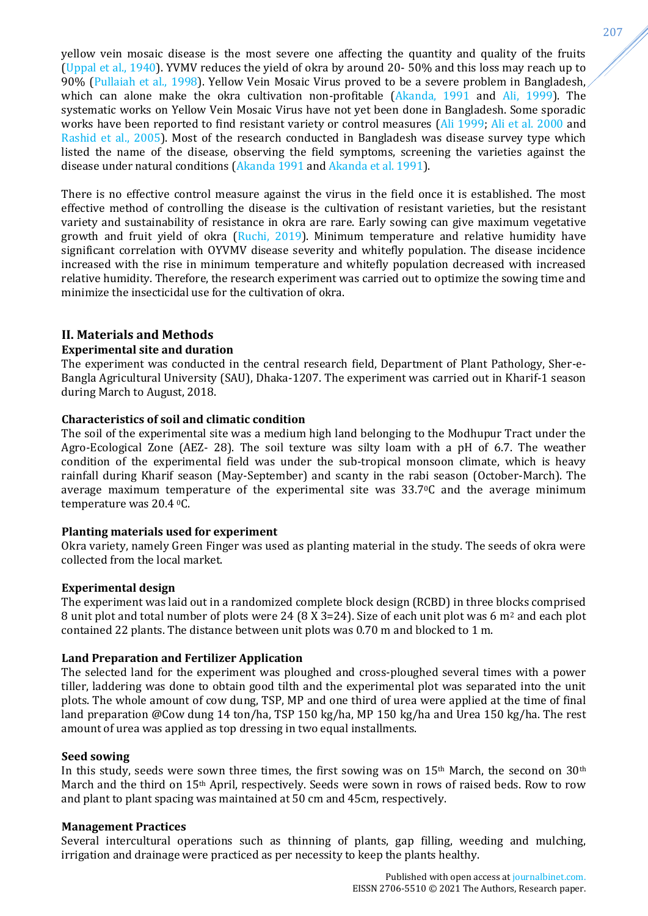yellow vein mosaic disease is the most severe one affecting the quantity and quality of the fruits [\(Uppal et al., 1940\)](#page-6-6). YVMV reduces the yield of okra by around 20- 50% and this loss may reach up to 90% [\(Pullaiah et al., 1998\)](#page-6-7). Yellow Vein Mosaic Virus proved to be a severe problem in Bangladesh, which can alone make the okra cultivation non-profitable [\(Akanda, 1991](#page-6-8) and [Ali, 1999\)](#page-6-9). The systematic works on Yellow Vein Mosaic Virus have not yet been done in Bangladesh. Some sporadic works have been reported to find resistant variety or control measures [\(Ali 1999;](#page-6-9) [Ali et al. 2000](#page-6-5) and [Rashid et al.,](#page-6-0) 2005). Most of the research conducted in Bangladesh was disease survey type which listed the name of the disease, observing the field symptoms, screening the varieties against the disease under natural conditions [\(Akanda 1991](#page-6-8) and [Akanda et al. 1991\)](#page-6-10).

There is no effective control measure against the virus in the field once it is established. The most effective method of controlling the disease is the cultivation of resistant varieties, but the resistant variety and sustainability of resistance in okra are rare. Early sowing can give maximum vegetative growth and fruit yield of okra [\(Ruchi, 2019\)](#page-6-11). Minimum temperature and relative humidity have significant correlation with OYVMV disease severity and whitefly population. The disease incidence increased with the rise in minimum temperature and whitefly population decreased with increased relative humidity. Therefore, the research experiment was carried out to optimize the sowing time and minimize the insecticidal use for the cultivation of okra.

# **II. Materials and Methods**

### **Experimental site and duration**

The experiment was conducted in the central research field, Department of Plant Pathology, Sher-e-Bangla Agricultural University (SAU), Dhaka-1207. The experiment was carried out in Kharif-1 season during March to August, 2018.

### **Characteristics of soil and climatic condition**

The soil of the experimental site was a medium high land belonging to the Modhupur Tract under the Agro-Ecological Zone (AEZ- 28). The soil texture was silty loam with a pH of 6.7. The weather condition of the experimental field was under the sub-tropical monsoon climate, which is heavy rainfall during Kharif season (May-September) and scanty in the rabi season (October-March). The average maximum temperature of the experimental site was 33.70C and the average minimum temperature was 20.4 0C.

#### **Planting materials used for experiment**

Okra variety, namely Green Finger was used as planting material in the study. The seeds of okra were collected from the local market.

#### **Experimental design**

The experiment was laid out in a randomized complete block design (RCBD) in three blocks comprised 8 unit plot and total number of plots were 24 (8 X 3=24). Size of each unit plot was 6 m<sup>2</sup> and each plot contained 22 plants. The distance between unit plots was 0.70 m and blocked to 1 m.

#### **Land Preparation and Fertilizer Application**

The selected land for the experiment was ploughed and cross-ploughed several times with a power tiller, laddering was done to obtain good tilth and the experimental plot was separated into the unit plots. The whole amount of cow dung, TSP, MP and one third of urea were applied at the time of final land preparation @Cow dung 14 ton/ha, TSP 150 kg/ha, MP 150 kg/ha and Urea 150 kg/ha. The rest amount of urea was applied as top dressing in two equal installments.

#### **Seed sowing**

In this study, seeds were sown three times, the first sowing was on 15<sup>th</sup> March, the second on 30<sup>th</sup> March and the third on 15th April, respectively. Seeds were sown in rows of raised beds. Row to row and plant to plant spacing was maintained at 50 cm and 45cm, respectively.

#### **Management Practices**

Several intercultural operations such as thinning of plants, gap filling, weeding and mulching, irrigation and drainage were practiced as per necessity to keep the plants healthy.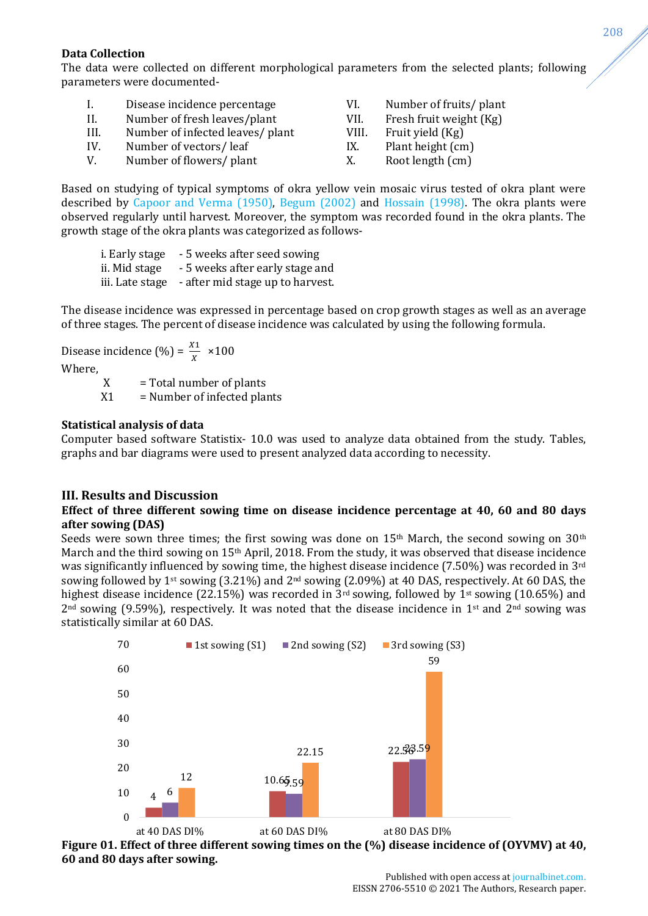## **Data Collection**

The data were collected on different morphological parameters from the selected plants; following parameters were documented-

| $\perp$ | Disease incidence percentage     | VI.   | Number of fruits/ plant |
|---------|----------------------------------|-------|-------------------------|
| H.      | Number of fresh leaves/plant     | VII.  | Fresh fruit weight (Kg) |
| HL.     | Number of infected leaves/ plant | VIII. | Fruit yield (Kg)        |
| IV.     | Number of vectors/leaf           | IX.   | Plant height (cm)       |
| V.      | Number of flowers/ plant         | Χ.    | Root length (cm)        |

Based on studying of typical symptoms of okra yellow vein mosaic virus tested of okra plant were described by [Capoor and Verma \(1950\),](#page-6-12) [Begum \(2002\)](#page-6-13) and [Hossain \(1998\).](#page-6-14) The okra plants were observed regularly until harvest. Moreover, the symptom was recorded found in the okra plants. The growth stage of the okra plants was categorized as follows-

| i. Early stage  | - 5 weeks after seed sowing      |
|-----------------|----------------------------------|
| ii. Mid stage   | - 5 weeks after early stage and  |
| iii. Late stage | - after mid stage up to harvest. |

The disease incidence was expressed in percentage based on crop growth stages as well as an average of three stages. The percent of disease incidence was calculated by using the following formula.

Disease incidence (%) =  $\frac{X_1}{X} \times 100$ 

Where,

 $X = Total number of plants$ 

 $X1$  = Number of infected plants

### **Statistical analysis of data**

Computer based software Statistix- 10.0 was used to analyze data obtained from the study. Tables, graphs and bar diagrams were used to present analyzed data according to necessity.

# **III. Results and Discussion**

### **Effect of three different sowing time on disease incidence percentage at 40, 60 and 80 days after sowing (DAS)**

Seeds were sown three times; the first sowing was done on 15<sup>th</sup> March, the second sowing on 30<sup>th</sup> March and the third sowing on 15th April, 2018. From the study, it was observed that disease incidence was significantly influenced by sowing time, the highest disease incidence (7.50%) was recorded in 3rd sowing followed by 1<sup>st</sup> sowing (3.21%) and  $2<sup>nd</sup>$  sowing (2.09%) at 40 DAS, respectively. At 60 DAS, the highest disease incidence (22.15%) was recorded in  $3<sup>rd</sup>$  sowing, followed by 1<sup>st</sup> sowing (10.65%) and  $2<sup>nd</sup>$  sowing (9.59%), respectively. It was noted that the disease incidence in 1<sup>st</sup> and 2<sup>nd</sup> sowing was statistically similar at 60 DAS.



<span id="page-2-0"></span>**Figure 01. Effect of three different sowing times on the (%) disease incidence of (OYVMV) at 40, 60 and 80 days after sowing.**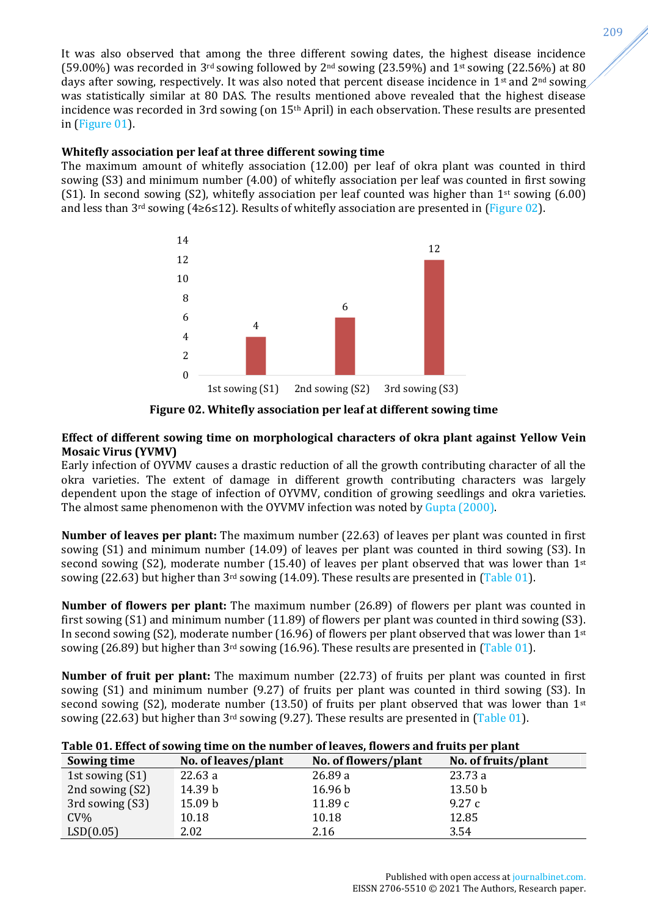It was also observed that among the three different sowing dates, the highest disease incidence (59.00%) was recorded in 3<sup>rd</sup> sowing followed by 2<sup>nd</sup> sowing (23.59%) and 1<sup>st</sup> sowing (22.56%) at 80 days after sowing, respectively. It was also noted that percent disease incidence in 1<sup>st</sup> and 2<sup>nd</sup> sowing, was statistically similar at 80 DAS. The results mentioned above revealed that the highest disease incidence was recorded in 3rd sowing (on 15th April) in each observation. These results are presented in [\(Figure 01\)](#page-2-0).

## **Whitefly association per leaf at three different sowing time**

The maximum amount of whitefly association (12.00) per leaf of okra plant was counted in third sowing (S3) and minimum number (4.00) of whitefly association per leaf was counted in first sowing (S1). In second sowing (S2), whitefly association per leaf counted was higher than 1<sup>st</sup> sowing (6.00) and less than 3<sup>rd</sup> sowing (4≥6≤12). Results of whitefly association are presented in [\(Figure 02\)](#page-3-0).



**Figure 02. Whitefly association per leaf at different sowing time**

## <span id="page-3-0"></span>**Effect of different sowing time on morphological characters of okra plant against Yellow Vein Mosaic Virus (YVMV)**

Early infection of OYVMV causes a drastic reduction of all the growth contributing character of all the okra varieties. The extent of damage in different growth contributing characters was largely dependent upon the stage of infection of OYVMV, condition of growing seedlings and okra varieties. The almost same phenomenon with the OYVMV infection was noted by [Gupta \(2000\).](#page-6-15)

**Number of leaves per plant:** The maximum number (22.63) of leaves per plant was counted in first sowing (S1) and minimum number (14.09) of leaves per plant was counted in third sowing (S3). In second sowing (S2), moderate number (15.40) of leaves per plant observed that was lower than  $1<sup>st</sup>$ sowing  $(22.63)$  but higher than  $3<sup>rd</sup>$  sowing  $(14.09)$ . These results are presented in  $(Table 01)$ .

**Number of flowers per plant:** The maximum number (26.89) of flowers per plant was counted in first sowing (S1) and minimum number (11.89) of flowers per plant was counted in third sowing (S3). In second sowing (S2), moderate number (16.96) of flowers per plant observed that was lower than  $1<sup>st</sup>$ sowing (26.89) but higher than 3<sup>rd</sup> sowing (16.96). These results are presented in [\(Table 01\)](#page-3-1).

**Number of fruit per plant:** The maximum number (22.73) of fruits per plant was counted in first sowing (S1) and minimum number (9.27) of fruits per plant was counted in third sowing (S3). In second sowing (S2), moderate number (13.50) of fruits per plant observed that was lower than  $1<sup>st</sup>$ sowing (22.63) but higher than  $3^{rd}$  sowing (9.27). These results are presented in [\(Table 01\)](#page-3-1).

# <span id="page-3-1"></span>**Table 01. Effect of sowing time on the number of leaves, flowers and fruits per plant**

| Sowing time     | No. of leaves/plant | No. of flowers/plant | No. of fruits/plant |
|-----------------|---------------------|----------------------|---------------------|
| 1st sowing (S1) | 22.63a              | 26.89a               | 23.73 a             |
| 2nd sowing (S2) | 14.39 b             | 16.96 <sub>b</sub>   | 13.50 <sub>b</sub>  |
| 3rd sowing (S3) | 15.09 b             | 11.89c               | 9.27c               |
| $CV\%$          | 10.18               | 10.18                | 12.85               |
| LSD(0.05)       | 2.02                | 2.16                 | 3.54                |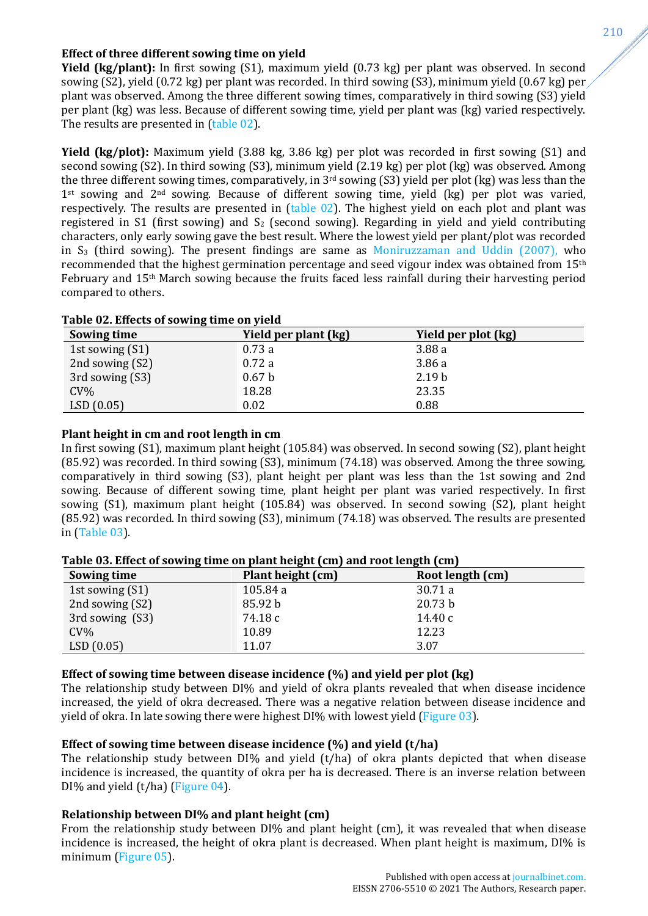# **Effect of three different sowing time on yield**

**Yield (kg/plant):** In first sowing (S1), maximum yield (0.73 kg) per plant was observed. In second sowing (S2), yield (0.72 kg) per plant was recorded. In third sowing (S3), minimum yield (0.67 kg) per plant was observed. Among the three different sowing times, comparatively in third sowing (S3) yield per plant (kg) was less. Because of different sowing time, yield per plant was (kg) varied respectively. The results are presented in [\(table 02\)](#page-4-0).

**Yield (kg/plot):** Maximum yield (3.88 kg, 3.86 kg) per plot was recorded in first sowing (S1) and second sowing (S2). In third sowing (S3), minimum yield (2.19 kg) per plot (kg) was observed. Among the three different sowing times, comparatively, in 3rd sowing (S3) yield per plot (kg) was less than the 1st sowing and 2<sup>nd</sup> sowing. Because of different sowing time, yield (kg) per plot was varied, respectively. The results are presented in [\(table 02\)](#page-4-0). The highest yield on each plot and plant was registered in S1 (first sowing) and  $S_2$  (second sowing). Regarding in yield and yield contributing characters, only early sowing gave the best result. Where the lowest yield per plant/plot was recorded in  $S_3$  (third sowing). The present findings are same as [Moniruzzaman and Uddin \(2007\),](#page-6-16) who recommended that the highest germination percentage and seed vigour index was obtained from 15th February and 15th March sowing because the fruits faced less rainfall during their harvesting period compared to others.

| Table 02. Effects of sowing time on vield |                      |                     |  |  |  |
|-------------------------------------------|----------------------|---------------------|--|--|--|
| Sowing time                               | Yield per plant (kg) | Yield per plot (kg) |  |  |  |
| 1st sowing (S1)                           | 0.73a                | 3.88a               |  |  |  |
| 2nd sowing (S2)                           | 0.72a                | 3.86a               |  |  |  |
| 3rd sowing (S3)                           | 0.67 <sub>b</sub>    | 2.19 <sub>b</sub>   |  |  |  |
| $CV\%$                                    | 18.28                | 23.35               |  |  |  |
| LSD(0.05)                                 | 0.02                 | 0.88                |  |  |  |

# <span id="page-4-0"></span>**Table 02. Effects of sowing time on yield**

#### **Plant height in cm and root length in cm**

In first sowing (S1), maximum plant height (105.84) was observed. In second sowing (S2), plant height (85.92) was recorded. In third sowing (S3), minimum (74.18) was observed. Among the three sowing, comparatively in third sowing (S3), plant height per plant was less than the 1st sowing and 2nd sowing. Because of different sowing time, plant height per plant was varied respectively. In first sowing (S1), maximum plant height (105.84) was observed. In second sowing (S2), plant height (85.92) was recorded. In third sowing (S3), minimum (74.18) was observed. The results are presented in [\(Table 03\)](#page-4-1).

| rabic və. Bilçet vi sowing time vir plant height (cm) and root length (cm) |                   |                  |  |  |  |
|----------------------------------------------------------------------------|-------------------|------------------|--|--|--|
| Sowing time                                                                | Plant height (cm) | Root length (cm) |  |  |  |
| 1st sowing (S1)                                                            | 105.84 a          | 30.71 a          |  |  |  |
| 2nd sowing (S2)                                                            | 85.92 b           | 20.73 b          |  |  |  |
| 3rd sowing (S3)                                                            | 74.18 c           | 14.40c           |  |  |  |
| $CV\%$                                                                     | 10.89             | 12.23            |  |  |  |
| LSD(0.05)                                                                  | 11.07             | 3.07             |  |  |  |

#### <span id="page-4-1"></span>**Table 03. Effect of sowing time on plant height (cm) and root length (cm)**

#### **Effect of sowing time between disease incidence (%) and yield per plot (kg)**

The relationship study between DI% and yield of okra plants revealed that when disease incidence increased, the yield of okra decreased. There was a negative relation between disease incidence and yield of okra. In late sowing there were highest DI% with lowest yield [\(Figure 03\)](#page-5-0).

#### **Effect of sowing time between disease incidence (%) and yield (t/ha)**

The relationship study between DI% and yield (t/ha) of okra plants depicted that when disease incidence is increased, the quantity of okra per ha is decreased. There is an inverse relation between DI% and yield (t/ha) [\(Figure 04\)](#page-5-1).

# **Relationship between DI% and plant height (cm)**

From the relationship study between DI% and plant height (cm), it was revealed that when disease incidence is increased, the height of okra plant is decreased. When plant height is maximum, DI% is minimum [\(Figure 05\)](#page-5-2).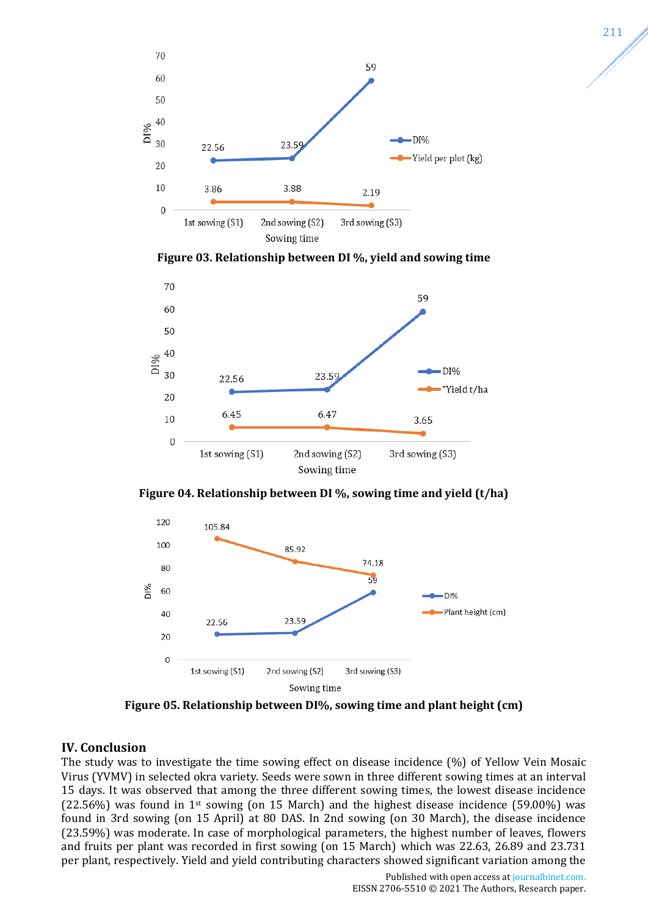

**Figure 03. Relationship between DI %, yield and sowing time**

<span id="page-5-0"></span>

**Figure 04. Relationship between DI %, sowing time and yield (t/ha)**

<span id="page-5-1"></span>

**Figure 05. Relationship between DI%, sowing time and plant height (cm)**

# <span id="page-5-2"></span>**IV. Conclusion**

The study was to investigate the time sowing effect on disease incidence (%) of Yellow Vein Mosaic Virus (YVMV) in selected okra variety. Seeds were sown in three different sowing times at an interval 15 days. It was observed that among the three different sowing times, the lowest disease incidence  $(22.56%)$  was found in 1<sup>st</sup> sowing (on 15 March) and the highest disease incidence (59.00%) was found in 3rd sowing (on 15 April) at 80 DAS. In 2nd sowing (on 30 March), the disease incidence (23.59%) was moderate. In case of morphological parameters, the highest number of leaves, flowers and fruits per plant was recorded in first sowing (on 15 March) which was 22.63, 26.89 and 23.731 per plant, respectively. Yield and yield contributing characters showed significant variation among the